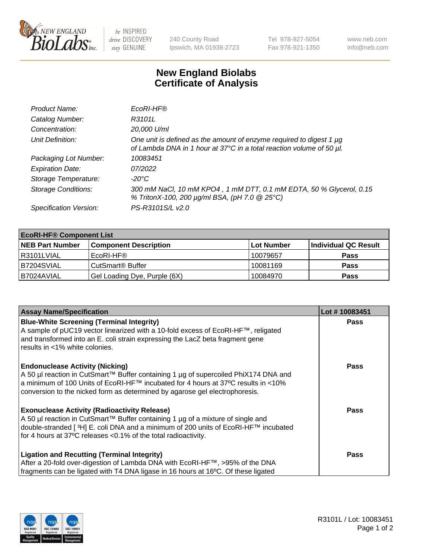

 $be$  INSPIRED drive DISCOVERY stay GENUINE

240 County Road Ipswich, MA 01938-2723 Tel 978-927-5054 Fax 978-921-1350 www.neb.com info@neb.com

## **New England Biolabs Certificate of Analysis**

| Product Name:              | EcoRI-HF®                                                                                                                                   |
|----------------------------|---------------------------------------------------------------------------------------------------------------------------------------------|
| Catalog Number:            | R3101L                                                                                                                                      |
| Concentration:             | 20,000 U/ml                                                                                                                                 |
| Unit Definition:           | One unit is defined as the amount of enzyme required to digest 1 µg<br>of Lambda DNA in 1 hour at 37°C in a total reaction volume of 50 µl. |
| Packaging Lot Number:      | 10083451                                                                                                                                    |
| <b>Expiration Date:</b>    | 07/2022                                                                                                                                     |
| Storage Temperature:       | -20°C                                                                                                                                       |
| <b>Storage Conditions:</b> | 300 mM NaCl, 10 mM KPO4, 1 mM DTT, 0.1 mM EDTA, 50 % Glycerol, 0.15<br>% TritonX-100, 200 µg/ml BSA, (pH 7.0 @ 25°C)                        |
| Specification Version:     | PS-R3101S/L v2.0                                                                                                                            |

| <b>EcoRI-HF® Component List</b> |                              |                   |                      |  |  |
|---------------------------------|------------------------------|-------------------|----------------------|--|--|
| <b>NEB Part Number</b>          | <b>Component Description</b> | <b>Lot Number</b> | Individual QC Result |  |  |
| I R3101LVIAL                    | EcoRI-HF®                    | 10079657          | <b>Pass</b>          |  |  |
| B7204SVIAL                      | CutSmart <sup>®</sup> Buffer | 10081169          | <b>Pass</b>          |  |  |
| I B7024AVIAL                    | Gel Loading Dye, Purple (6X) | 10084970          | <b>Pass</b>          |  |  |

| <b>Assay Name/Specification</b>                                                                                                                                           | Lot #10083451 |
|---------------------------------------------------------------------------------------------------------------------------------------------------------------------------|---------------|
| <b>Blue-White Screening (Terminal Integrity)</b>                                                                                                                          | <b>Pass</b>   |
| A sample of pUC19 vector linearized with a 10-fold excess of EcoRI-HF™, religated<br>and transformed into an E. coli strain expressing the LacZ beta fragment gene        |               |
| results in <1% white colonies.                                                                                                                                            |               |
| <b>Endonuclease Activity (Nicking)</b>                                                                                                                                    | <b>Pass</b>   |
| A 50 µl reaction in CutSmart™ Buffer containing 1 µg of supercoiled PhiX174 DNA and<br> a minimum of 100 Units of EcoRI-HF™ incubated for 4 hours at 37°C results in <10% |               |
| conversion to the nicked form as determined by agarose gel electrophoresis.                                                                                               |               |
| <b>Exonuclease Activity (Radioactivity Release)</b>                                                                                                                       | Pass          |
| A 50 µl reaction in CutSmart™ Buffer containing 1 µg of a mixture of single and                                                                                           |               |
| double-stranded [ <sup>3</sup> H] E. coli DNA and a minimum of 200 units of EcoRI-HF™ incubated<br>for 4 hours at 37°C releases <0.1% of the total radioactivity.         |               |
|                                                                                                                                                                           |               |
| <b>Ligation and Recutting (Terminal Integrity)</b>                                                                                                                        | <b>Pass</b>   |
| After a 20-fold over-digestion of Lambda DNA with EcoRI-HF™, >95% of the DNA                                                                                              |               |
| fragments can be ligated with T4 DNA ligase in 16 hours at 16°C. Of these ligated                                                                                         |               |